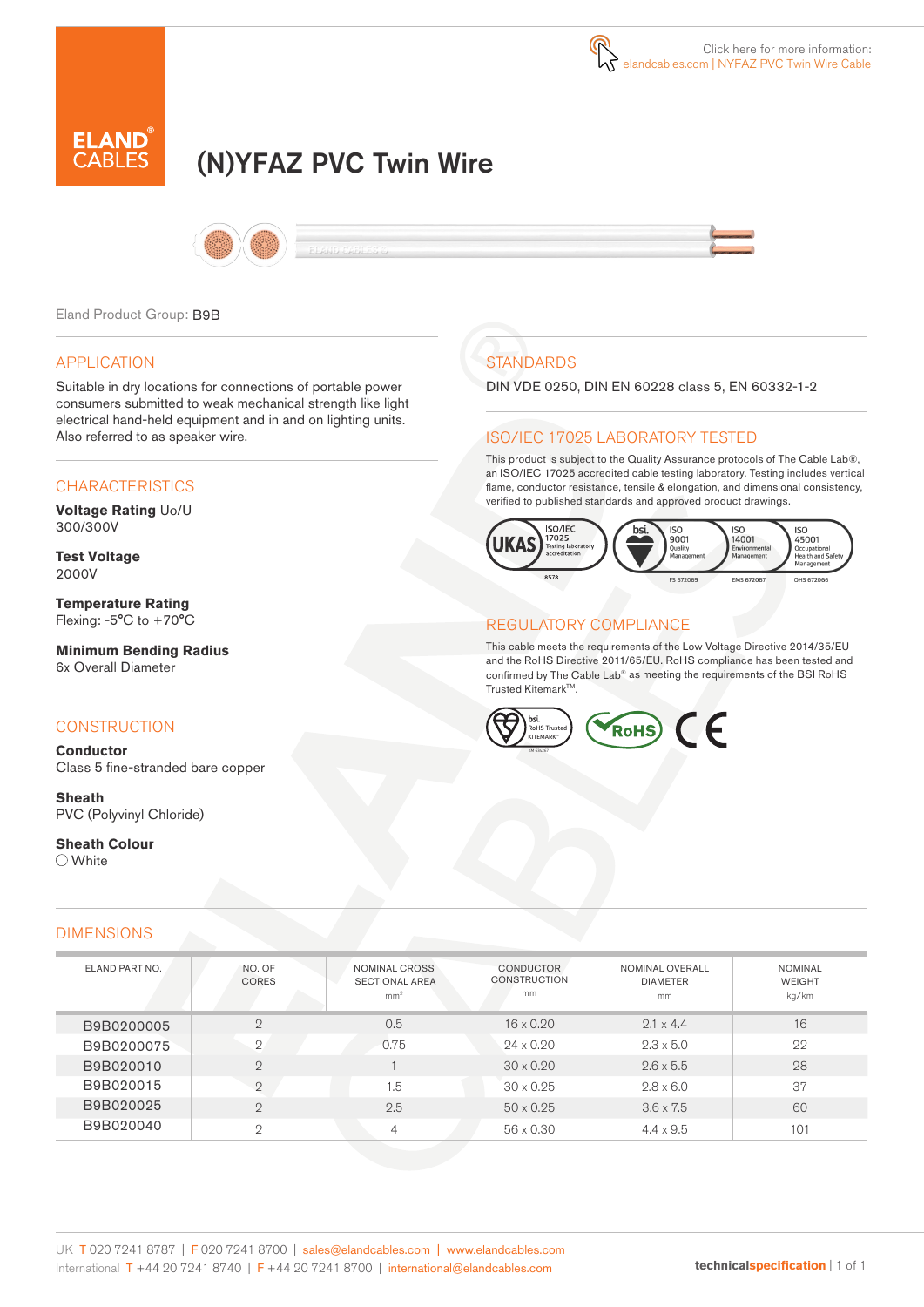

# (N)YFAZ PVC Twin Wire



Eland Product Group: B9B

#### APPLICATION

Suitable in dry locations for connections of portable power consumers submitted to weak mechanical strength like light electrical hand-held equipment and in and on lighting units. Also referred to as speaker wire.

# **CHARACTERISTICS**

**Voltage Rating** Uo/U 300/300V

**Test Voltage** 2000V

**Temperature Rating**  Flexing: -5°C to +70°C

**Minimum Bending Radius**  6x Overall Diameter

# **CONSTRUCTION**

**Conductor** Class 5 fine-stranded bare copper

**Sheath** PVC (Polyvinyl Chloride)

**Sheath Colour** ○ White

#### DIMENSIONS

| <b>STANDARDS</b> |  |
|------------------|--|
|                  |  |

DIN VDE 0250, DIN EN 60228 class 5, EN 60332-1-2

# ISO/IEC 17025 LABORATORY TESTED

This product is subject to the Quality Assurance protocols of The Cable Lab®, an ISO/IEC 17025 accredited cable testing laboratory. Testing includes vertical flame, conductor resistance, tensile & elongation, and dimensional consistency, verified to published standards and approved product drawings.



# REGULATORY COMPLIANCE

This cable meets the requirements of the Low Voltage Directive 2014/35/EU and the RoHS Directive 2011/65/EU. RoHS compliance has been tested and confirmed by The Cable Lab® as meeting the requirements of the BSI RoHS Trusted Kitemark™.



| ELAND PART NO. | NO. OF<br><b>CORES</b> | NOMINAL CROSS<br><b>SECTIONAL AREA</b><br>mm <sup>2</sup> | <b>CONDUCTOR</b><br><b>CONSTRUCTION</b><br>mm | NOMINAL OVERALL<br><b>DIAMETER</b><br>mm | <b>NOMINAL</b><br><b>WEIGHT</b><br>kg/km |
|----------------|------------------------|-----------------------------------------------------------|-----------------------------------------------|------------------------------------------|------------------------------------------|
| B9B0200005     | $\mathcal{D}$          | 0.5                                                       | $16 \times 0.20$                              | $2.1 \times 4.4$                         | 16                                       |
| B9B0200075     | $\mathcal{D}$          | 0.75                                                      | $24 \times 0.20$                              | $2.3 \times 5.0$                         | 22                                       |
| B9B020010      | $\mathcal{D}$          |                                                           | $30 \times 0.20$                              | $2.6 \times 5.5$                         | 28                                       |
| B9B020015      | $\mathcal{D}$          | 1.5                                                       | $30 \times 0.25$                              | $2.8 \times 6.0$                         | 37                                       |
| B9B020025      | $\mathcal{D}$          | 2.5                                                       | $50 \times 0.25$                              | $3.6 \times 7.5$                         | 60                                       |
| B9B020040      | $\circ$                | 4                                                         | $56 \times 0.30$                              | $4.4 \times 9.5$                         | 101                                      |